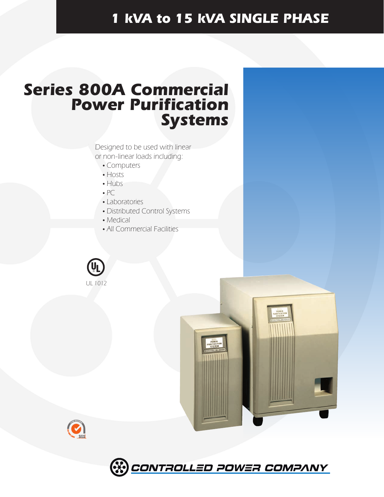# *1 kVA to 15 kVA SINGLE PHASE*

# *Series 800A Commercial Power Purification Systems*

Designed to be used with linear or non-linear loads including:

- Computers
- Hosts
- Hubs
- $\bullet$  PC
- Laboratories
- Distributed Control Systems
- Medical
- All Commercial Facilities







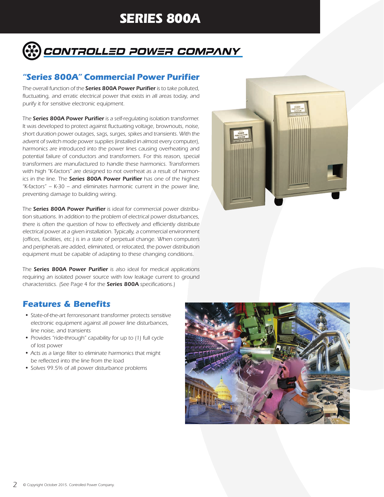# **SERIES 800A**



## *"Series 800A" Commercial Power Purifier*

*The overall function of the Series 800A Power Purifier is to take polluted,*  fluctuating, and erratic electrical power that exists in all areas today, and *purify it for sensitive electronic equipment.*

*The Series 800A Power Purifier is a self-regulating isolation transformer. It was developed to protect against fluctuating voltage, brownouts, noise, short duration power outages, sags, surges, spikes and transients. With the advent of switch mode power supplies (installed in almost every computer), harmonics are introduced into the power lines causing overheating and potential failure of conductors and transformers. For this reason, special transformers are manufactured to handle these harmonics. Transformers with high "K-factors" are designed to not overheat as a result of harmonics in the line. The Series 800A Power Purifier has one of the highest "K-factors" – K-30 – and eliminates harmonic current in the power line, preventing damage to building wiring.*

*The Series 800A Power Purifier is ideal for commercial power distribution situations. In addition to the problem of electrical power disturbances, there is often the question of how to effectively and efficiently distribute electrical power at a given installation. Typically, a commercial environment (offices, facilities, etc.) is in a state of perpetual change. When computers and peripherals are added, eliminated, or relocated, the power distribution equipment must be capable of adapting to these changing conditions.*

*The Series 800A Power Purifier is also ideal for medical applications*  requiring an isolated power source with low leakage current to ground *characteristics. (See Page 4 for the Series 800A specifications.)*



## *Features & Benefits*

- *State-of-the-art ferroresonant transformer protects sensitive electronic equipment against all power line disturbances, line noise, and transients*
- *Provides "ride-through" capability for up to (1) full cycle of lost power*
- *Acts as a large filter to eliminate harmonics that might be reflected into the line from the load*
- *Solves 99.5% of all power disturbance problems*

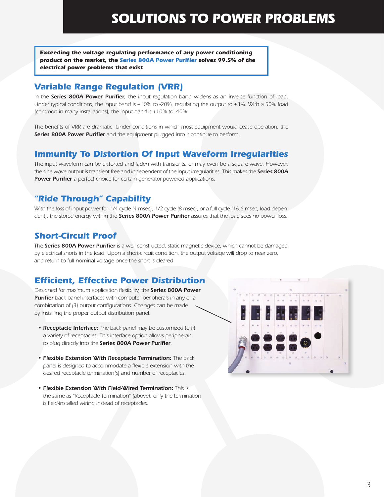*Exceeding the voltage regulating performance of any power conditioning product on the market, the Series 800A Power Purifier solves 99.5% of the electrical power problems that exist*

## *Variable Range Regulation (VRR)*

*In the Series 800A Power Purifier, the input regulation band widens as an inverse function of load. Under typical conditions, the input band is +10% to -20%, regulating the output to ±3%. With a 50% load (common in many installations), the input band is +10% to -40%.*

The benefits of VRR are dramatic. Under conditions in which most equipment would cease operation, the *Series 800A Power Purifier and the equipment plugged into it continue to perform.*

# *Immunity To Distortion Of Input Waveform Irregularities*

*The input waveform can be distorted and laden with transients, or may even be a square wave. However, the sine wave output is transient-free and independent of the input irregularities. This makes the Series 800A Power Purifier a perfect choice for certain generator-powered applications.*

# *"Ride Through" Capability*

*With the loss of input power for 1/4 cycle (4 msec), 1/2 cycle (8 msec), or a full cycle (16.6 msec, load-dependent), the stored energy within the Series 800A Power Purifier assures that the load sees no power loss.*

# *Short-Circuit Proof*

*The Series 800A Power Purifier is a well-constructed, static magnetic device, which cannot be damaged by electrical shorts in the load. Upon a short-circuit condition, the output voltage will drop to near zero, and return to full nominal voltage once the short is cleared.*

# *Efficient, Effective Power Distribution*

*Designed for maximum application flexibility, the Series 800A Power*  **Purifier** back panel interfaces with computer peripherals in any or a *combination of (3) output configurations. Changes can be made by installing the proper output distribution panel.*

- *Receptacle Interface: The back panel may be customized to fit a variety of receptacles. This interface option allows peripherals to plug directly into the Series 800A Power Purifier.*
- *Flexible Extension With Receptacle Termination: The back panel is designed to accommodate a flexible extension with the desired receptacle termination(s) and number of receptacles.*
- *Flexible Extension With Field-Wired Termination: This is the same as "Receptacle Termination" (above), only the termination is field-installed wiring instead of receptacles.*